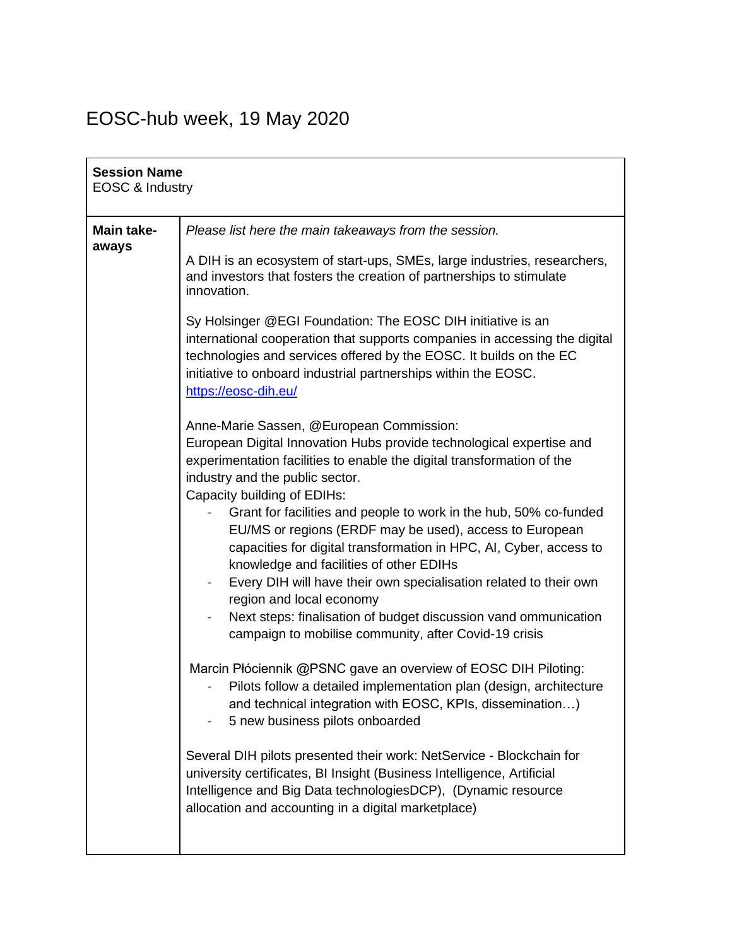## EOSC-hub week, 19 May 2020

| <b>Session Name</b><br>EOSC & Industry |                                                                                                                                                                                                                                                                                                                                                |
|----------------------------------------|------------------------------------------------------------------------------------------------------------------------------------------------------------------------------------------------------------------------------------------------------------------------------------------------------------------------------------------------|
| Main take-<br>aways                    | Please list here the main takeaways from the session.<br>A DIH is an ecosystem of start-ups, SMEs, large industries, researchers,                                                                                                                                                                                                              |
|                                        | and investors that fosters the creation of partnerships to stimulate<br>innovation.                                                                                                                                                                                                                                                            |
|                                        | Sy Holsinger @EGI Foundation: The EOSC DIH initiative is an<br>international cooperation that supports companies in accessing the digital<br>technologies and services offered by the EOSC. It builds on the EC<br>initiative to onboard industrial partnerships within the EOSC.<br>https://eosc-dih.eu/                                      |
|                                        | Anne-Marie Sassen, @European Commission:<br>European Digital Innovation Hubs provide technological expertise and<br>experimentation facilities to enable the digital transformation of the<br>industry and the public sector.<br>Capacity building of EDIHs:                                                                                   |
|                                        | Grant for facilities and people to work in the hub, 50% co-funded<br>EU/MS or regions (ERDF may be used), access to European<br>capacities for digital transformation in HPC, AI, Cyber, access to<br>knowledge and facilities of other EDIHs<br>Every DIH will have their own specialisation related to their own<br>$\overline{\phantom{0}}$ |
|                                        | region and local economy<br>Next steps: finalisation of budget discussion vand ommunication<br>$\overline{\phantom{0}}$<br>campaign to mobilise community, after Covid-19 crisis                                                                                                                                                               |
|                                        | Marcin Płóciennik @PSNC gave an overview of EOSC DIH Piloting:<br>Pilots follow a detailed implementation plan (design, architecture<br>and technical integration with EOSC, KPIs, dissemination)<br>5 new business pilots onboarded                                                                                                           |
|                                        | Several DIH pilots presented their work: NetService - Blockchain for<br>university certificates, BI Insight (Business Intelligence, Artificial<br>Intelligence and Big Data technologiesDCP), (Dynamic resource<br>allocation and accounting in a digital marketplace)                                                                         |